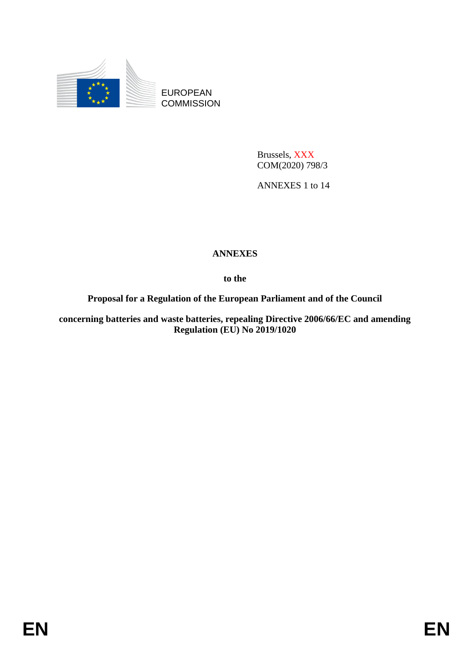

EUROPEAN **COMMISSION** 

> Brussels, XXX COM(2020) 798/3

ANNEXES 1 to 14

# **ANNEXES**

**to the**

**Proposal for a Regulation of the European Parliament and of the Council**

**concerning batteries and waste batteries, repealing Directive 2006/66/EC and amending Regulation (EU) No 2019/1020**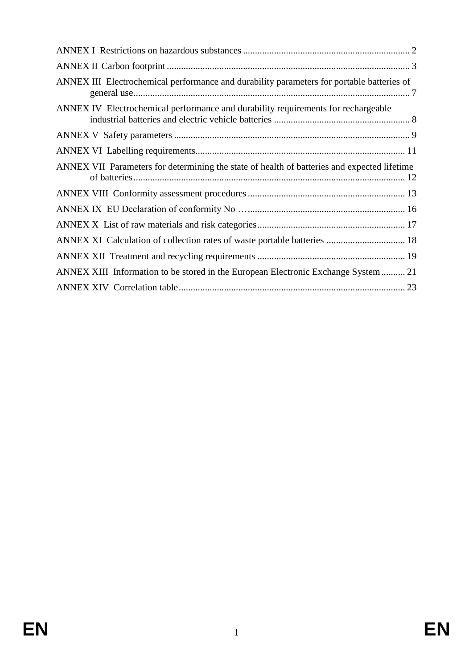| ANNEX III Electrochemical performance and durability parameters for portable batteries of   |  |
|---------------------------------------------------------------------------------------------|--|
| ANNEX IV Electrochemical performance and durability requirements for rechargeable           |  |
|                                                                                             |  |
|                                                                                             |  |
| ANNEX VII Parameters for determining the state of health of batteries and expected lifetime |  |
|                                                                                             |  |
|                                                                                             |  |
|                                                                                             |  |
| ANNEX XI Calculation of collection rates of waste portable batteries  18                    |  |
|                                                                                             |  |
| ANNEX XIII Information to be stored in the European Electronic Exchange System 21           |  |
|                                                                                             |  |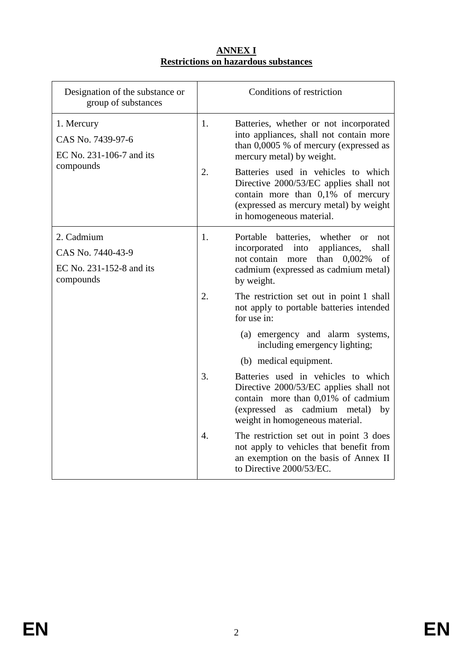### **ANNEX I Restrictions on hazardous substances**

<span id="page-2-0"></span>

| Designation of the substance or<br>group of substances                   |                  | Conditions of restriction                                                                                                                                                                                                                                                                                                                            |
|--------------------------------------------------------------------------|------------------|------------------------------------------------------------------------------------------------------------------------------------------------------------------------------------------------------------------------------------------------------------------------------------------------------------------------------------------------------|
| 1. Mercury<br>CAS No. 7439-97-6<br>EC No. 231-106-7 and its<br>compounds | 1.<br>2.         | Batteries, whether or not incorporated<br>into appliances, shall not contain more<br>than 0,0005 % of mercury (expressed as<br>mercury metal) by weight.<br>Batteries used in vehicles to which<br>Directive 2000/53/EC applies shall not<br>contain more than 0,1% of mercury<br>(expressed as mercury metal) by weight<br>in homogeneous material. |
| 2. Cadmium<br>CAS No. 7440-43-9<br>EC No. 231-152-8 and its<br>compounds | 1.               | Portable batteries, whether<br><b>or</b><br>not<br>incorporated<br>into<br>appliances,<br>shall<br>not contain more<br>0,002%<br>than<br>of<br>cadmium (expressed as cadmium metal)<br>by weight.                                                                                                                                                    |
|                                                                          | 2.               | The restriction set out in point 1 shall<br>not apply to portable batteries intended<br>for use in:<br>(a) emergency and alarm systems,<br>including emergency lighting;                                                                                                                                                                             |
|                                                                          |                  | (b) medical equipment.                                                                                                                                                                                                                                                                                                                               |
|                                                                          | 3.               | Batteries used in vehicles to which<br>Directive 2000/53/EC applies shall not<br>contain more than 0,01% of cadmium<br>(expressed)<br>cadmium metal)<br>as<br>by<br>weight in homogeneous material.                                                                                                                                                  |
|                                                                          | $\overline{4}$ . | The restriction set out in point 3 does<br>not apply to vehicles that benefit from<br>an exemption on the basis of Annex II<br>to Directive 2000/53/EC.                                                                                                                                                                                              |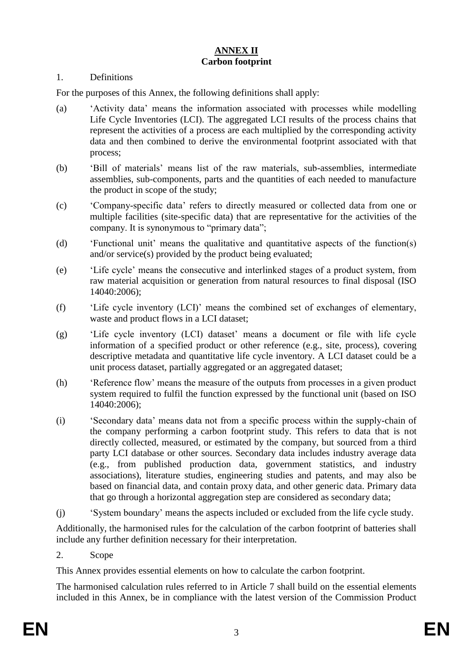# **ANNEX II Carbon footprint**

#### <span id="page-3-0"></span>1. Definitions

For the purposes of this Annex, the following definitions shall apply:

- (a) 'Activity data' means the information associated with processes while modelling Life Cycle Inventories (LCI). The aggregated LCI results of the process chains that represent the activities of a process are each multiplied by the corresponding activity data and then combined to derive the environmental footprint associated with that process;
- (b) 'Bill of materials' means list of the raw materials, sub-assemblies, intermediate assemblies, sub-components, parts and the quantities of each needed to manufacture the product in scope of the study;
- (c) 'Company-specific data' refers to directly measured or collected data from one or multiple facilities (site-specific data) that are representative for the activities of the company. It is synonymous to "primary data";
- (d) 'Functional unit' means the qualitative and quantitative aspects of the function(s) and/or service(s) provided by the product being evaluated;
- (e) 'Life cycle' means the consecutive and interlinked stages of a product system, from raw material acquisition or generation from natural resources to final disposal (ISO 14040:2006);
- (f) 'Life cycle inventory (LCI)' means the combined set of exchanges of elementary, waste and product flows in a LCI dataset;
- (g) 'Life cycle inventory (LCI) dataset' means a document or file with life cycle information of a specified product or other reference (e.g., site, process), covering descriptive metadata and quantitative life cycle inventory. A LCI dataset could be a unit process dataset, partially aggregated or an aggregated dataset;
- (h) 'Reference flow' means the measure of the outputs from processes in a given product system required to fulfil the function expressed by the functional unit (based on ISO 14040:2006);
- (i) 'Secondary data' means data not from a specific process within the supply-chain of the company performing a carbon footprint study. This refers to data that is not directly collected, measured, or estimated by the company, but sourced from a third party LCI database or other sources. Secondary data includes industry average data (e.g., from published production data, government statistics, and industry associations), literature studies, engineering studies and patents, and may also be based on financial data, and contain proxy data, and other generic data. Primary data that go through a horizontal aggregation step are considered as secondary data;
- (j) 'System boundary' means the aspects included or excluded from the life cycle study.

Additionally, the harmonised rules for the calculation of the carbon footprint of batteries shall include any further definition necessary for their interpretation.

2. Scope

This Annex provides essential elements on how to calculate the carbon footprint.

The harmonised calculation rules referred to in Article 7 shall build on the essential elements included in this Annex, be in compliance with the latest version of the Commission Product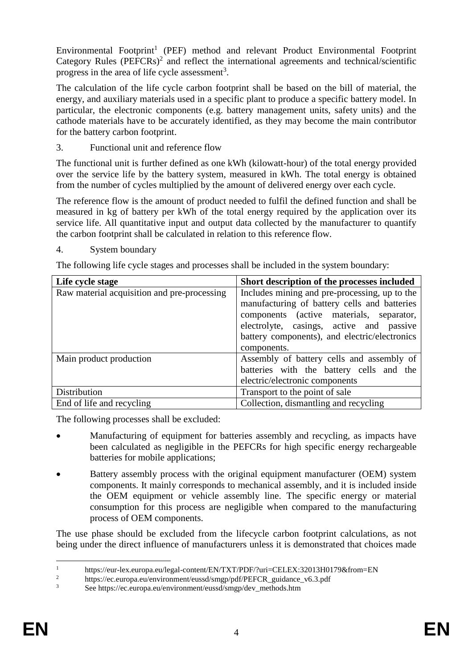Environmental Footprint<sup>1</sup> (PEF) method and relevant Product Environmental Footprint Category Rules (PEFCRs)<sup>2</sup> and reflect the international agreements and technical/scientific progress in the area of life cycle assessment<sup>3</sup>.

The calculation of the life cycle carbon footprint shall be based on the bill of material, the energy, and auxiliary materials used in a specific plant to produce a specific battery model. In particular, the electronic components (e.g. battery management units, safety units) and the cathode materials have to be accurately identified, as they may become the main contributor for the battery carbon footprint.

3. Functional unit and reference flow

The functional unit is further defined as one kWh (kilowatt-hour) of the total energy provided over the service life by the battery system, measured in kWh. The total energy is obtained from the number of cycles multiplied by the amount of delivered energy over each cycle.

The reference flow is the amount of product needed to fulfil the defined function and shall be measured in kg of battery per kWh of the total energy required by the application over its service life. All quantitative input and output data collected by the manufacturer to quantify the carbon footprint shall be calculated in relation to this reference flow.

4. System boundary

The following life cycle stages and processes shall be included in the system boundary:

| Life cycle stage                            | Short description of the processes included   |
|---------------------------------------------|-----------------------------------------------|
| Raw material acquisition and pre-processing | Includes mining and pre-processing, up to the |
|                                             | manufacturing of battery cells and batteries  |
|                                             | components (active materials, separator,      |
|                                             | electrolyte, casings, active and passive      |
|                                             | battery components), and electric/electronics |
|                                             | components.                                   |
| Main product production                     | Assembly of battery cells and assembly of     |
|                                             | batteries with the battery cells and the      |
|                                             | electric/electronic components                |
| Distribution                                | Transport to the point of sale                |
| End of life and recycling                   | Collection, dismantling and recycling         |

The following processes shall be excluded:

- Manufacturing of equipment for batteries assembly and recycling, as impacts have been calculated as negligible in the PEFCRs for high specific energy rechargeable batteries for mobile applications;
- Battery assembly process with the original equipment manufacturer (OEM) system components. It mainly corresponds to mechanical assembly, and it is included inside the OEM equipment or vehicle assembly line. The specific energy or material consumption for this process are negligible when compared to the manufacturing process of OEM components.

The use phase should be excluded from the lifecycle carbon footprint calculations, as not being under the direct influence of manufacturers unless it is demonstrated that choices made

 $\mathbf{1}$ <sup>1</sup> https://eur-lex.europa.eu/legal-content/EN/TXT/PDF/?uri=CELEX:32013H0179&from=EN<br><sup>2</sup> https://saxways.ou/suring user (user lower in 16/DEECD, with page 16.2 pHs

<sup>&</sup>lt;sup>2</sup> https://ec.europa.eu/environment/eussd/smgp/pdf/PEFCR\_guidance\_v6.3.pdf<br><sup>3</sup> See https://ec.europe.eu/environment/eused/emen/deu\_methode.htm

<sup>3</sup> See https://ec.europa.eu/environment/eussd/smgp/dev\_methods.htm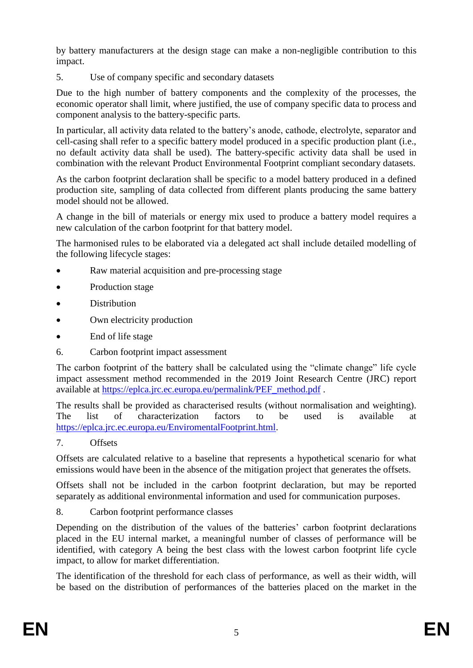by battery manufacturers at the design stage can make a non-negligible contribution to this impact.

5. Use of company specific and secondary datasets

Due to the high number of battery components and the complexity of the processes, the economic operator shall limit, where justified, the use of company specific data to process and component analysis to the battery-specific parts.

In particular, all activity data related to the battery's anode, cathode, electrolyte, separator and cell-casing shall refer to a specific battery model produced in a specific production plant (i.e., no default activity data shall be used). The battery-specific activity data shall be used in combination with the relevant Product Environmental Footprint compliant secondary datasets.

As the carbon footprint declaration shall be specific to a model battery produced in a defined production site, sampling of data collected from different plants producing the same battery model should not be allowed.

A change in the bill of materials or energy mix used to produce a battery model requires a new calculation of the carbon footprint for that battery model.

The harmonised rules to be elaborated via a delegated act shall include detailed modelling of the following lifecycle stages:

- Raw material acquisition and pre-processing stage
- Production stage
- **Distribution**
- Own electricity production
- End of life stage
- 6. Carbon footprint impact assessment

The carbon footprint of the battery shall be calculated using the "climate change" life cycle impact assessment method recommended in the 2019 Joint Research Centre (JRC) report available at [https://eplca.jrc.ec.europa.eu/permalink/PEF\\_method.pdf](https://eplca.jrc.ec.europa.eu/permalink/PEF_method.pdf) .

The results shall be provided as characterised results (without normalisation and weighting). The list of characterization factors to be used is available at [https://eplca.jrc.ec.europa.eu/EnviromentalFootprint.html.](https://eplca.jrc.ec.europa.eu/EnviromentalFootprint.html)

7. Offsets

Offsets are calculated relative to a baseline that represents a hypothetical scenario for what emissions would have been in the absence of the mitigation project that generates the offsets.

Offsets shall not be included in the carbon footprint declaration, but may be reported separately as additional environmental information and used for communication purposes.

8. Carbon footprint performance classes

Depending on the distribution of the values of the batteries' carbon footprint declarations placed in the EU internal market, a meaningful number of classes of performance will be identified, with category A being the best class with the lowest carbon footprint life cycle impact, to allow for market differentiation.

The identification of the threshold for each class of performance, as well as their width, will be based on the distribution of performances of the batteries placed on the market in the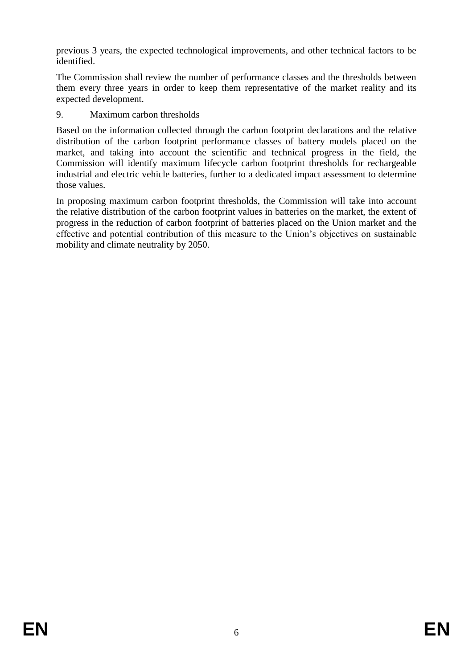previous 3 years, the expected technological improvements, and other technical factors to be identified.

The Commission shall review the number of performance classes and the thresholds between them every three years in order to keep them representative of the market reality and its expected development.

9. Maximum carbon thresholds

Based on the information collected through the carbon footprint declarations and the relative distribution of the carbon footprint performance classes of battery models placed on the market, and taking into account the scientific and technical progress in the field, the Commission will identify maximum lifecycle carbon footprint thresholds for rechargeable industrial and electric vehicle batteries, further to a dedicated impact assessment to determine those values.

In proposing maximum carbon footprint thresholds, the Commission will take into account the relative distribution of the carbon footprint values in batteries on the market, the extent of progress in the reduction of carbon footprint of batteries placed on the Union market and the effective and potential contribution of this measure to the Union's objectives on sustainable mobility and climate neutrality by 2050.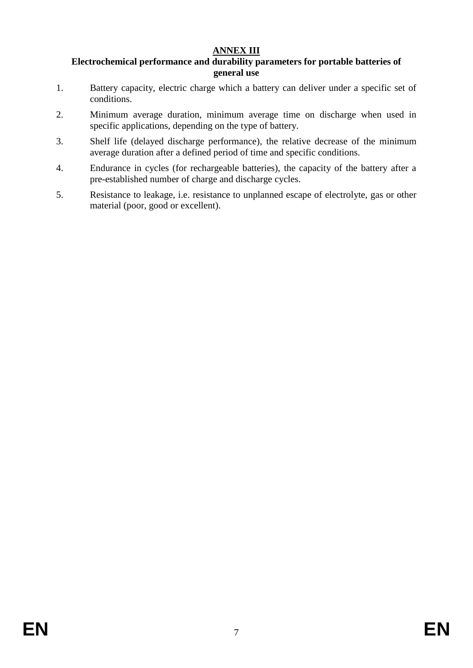# **ANNEX III**

#### <span id="page-7-0"></span>**Electrochemical performance and durability parameters for portable batteries of general use**

- 1. Battery capacity, electric charge which a battery can deliver under a specific set of conditions.
- 2. Minimum average duration, minimum average time on discharge when used in specific applications, depending on the type of battery.
- 3. Shelf life (delayed discharge performance), the relative decrease of the minimum average duration after a defined period of time and specific conditions.
- 4. Endurance in cycles (for rechargeable batteries), the capacity of the battery after a pre-established number of charge and discharge cycles.
- 5. Resistance to leakage, i.e. resistance to unplanned escape of electrolyte, gas or other material (poor, good or excellent).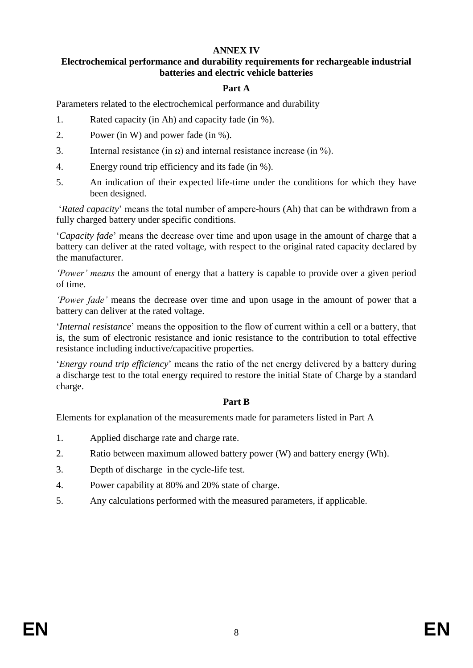#### **ANNEX IV**

#### <span id="page-8-0"></span>**Electrochemical performance and durability requirements for rechargeable industrial batteries and electric vehicle batteries**

### **Part A**

Parameters related to the electrochemical performance and durability

- 1. Rated capacity (in Ah) and capacity fade (in %).
- 2. Power (in W) and power fade (in %).
- 3. Internal resistance (in  $\Omega$ ) and internal resistance increase (in %).
- 4. Energy round trip efficiency and its fade (in %).
- 5. An indication of their expected life-time under the conditions for which they have been designed.

'*Rated capacity*' means the total number of ampere-hours (Ah) that can be withdrawn from a fully charged battery under specific conditions.

'*Capacity fade*' means the decrease over time and upon usage in the amount of charge that a battery can deliver at the rated voltage, with respect to the original rated capacity declared by the manufacturer.

*'Power' means* the amount of energy that a battery is capable to provide over a given period of time.

*'Power fade'* means the decrease over time and upon usage in the amount of power that a battery can deliver at the rated voltage.

'*Internal resistance*' means the opposition to the flow of current within a cell or a battery, that is, the sum of electronic resistance and ionic resistance to the contribution to total effective resistance including inductive/capacitive properties.

'*Energy round trip efficiency*' means the ratio of the net energy delivered by a battery during a discharge test to the total energy required to restore the initial State of Charge by a standard charge.

#### **Part B**

Elements for explanation of the measurements made for parameters listed in Part A

- 1. Applied discharge rate and charge rate.
- 2. Ratio between maximum allowed battery power (W) and battery energy (Wh).
- 3. Depth of discharge in the cycle-life test.
- 4. Power capability at 80% and 20% state of charge.
- 5. Any calculations performed with the measured parameters, if applicable.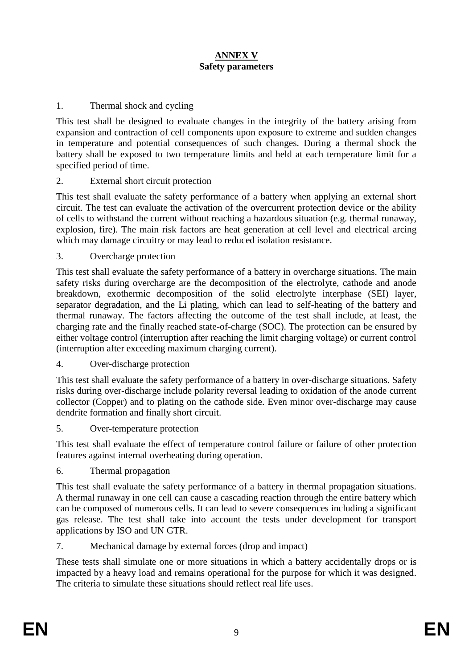# **ANNEX V Safety parameters**

### <span id="page-9-0"></span>1. Thermal shock and cycling

This test shall be designed to evaluate changes in the integrity of the battery arising from expansion and contraction of cell components upon exposure to extreme and sudden changes in temperature and potential consequences of such changes. During a thermal shock the battery shall be exposed to two temperature limits and held at each temperature limit for a specified period of time.

#### 2. External short circuit protection

This test shall evaluate the safety performance of a battery when applying an external short circuit. The test can evaluate the activation of the overcurrent protection device or the ability of cells to withstand the current without reaching a hazardous situation (e.g. thermal runaway, explosion, fire). The main risk factors are heat generation at cell level and electrical arcing which may damage circuitry or may lead to reduced isolation resistance.

#### 3. Overcharge protection

This test shall evaluate the safety performance of a battery in overcharge situations. The main safety risks during overcharge are the decomposition of the electrolyte, cathode and anode breakdown, exothermic decomposition of the solid electrolyte interphase (SEI) layer, separator degradation, and the Li plating, which can lead to self-heating of the battery and thermal runaway. The factors affecting the outcome of the test shall include, at least, the charging rate and the finally reached state-of-charge (SOC). The protection can be ensured by either voltage control (interruption after reaching the limit charging voltage) or current control (interruption after exceeding maximum charging current).

### 4. Over-discharge protection

This test shall evaluate the safety performance of a battery in over-discharge situations. Safety risks during over-discharge include polarity reversal leading to oxidation of the anode current collector (Copper) and to plating on the cathode side. Even minor over-discharge may cause dendrite formation and finally short circuit.

#### 5. Over-temperature protection

This test shall evaluate the effect of temperature control failure or failure of other protection features against internal overheating during operation.

#### 6. Thermal propagation

This test shall evaluate the safety performance of a battery in thermal propagation situations. A thermal runaway in one cell can cause a cascading reaction through the entire battery which can be composed of numerous cells. It can lead to severe consequences including a significant gas release. The test shall take into account the tests under development for transport applications by ISO and UN GTR.

#### 7. Mechanical damage by external forces (drop and impact)

These tests shall simulate one or more situations in which a battery accidentally drops or is impacted by a heavy load and remains operational for the purpose for which it was designed. The criteria to simulate these situations should reflect real life uses.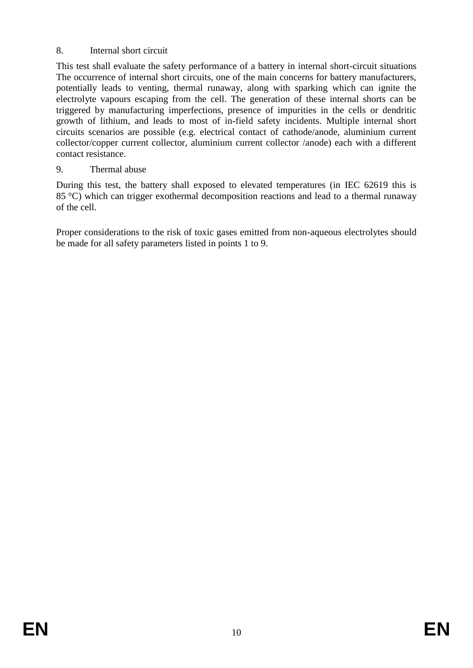# 8. Internal short circuit

This test shall evaluate the safety performance of a battery in internal short-circuit situations The occurrence of internal short circuits, one of the main concerns for battery manufacturers, potentially leads to venting, thermal runaway, along with sparking which can ignite the electrolyte vapours escaping from the cell. The generation of these internal shorts can be triggered by manufacturing imperfections, presence of impurities in the cells or dendritic growth of lithium, and leads to most of in-field safety incidents. Multiple internal short circuits scenarios are possible (e.g. electrical contact of cathode/anode, aluminium current collector/copper current collector, aluminium current collector /anode) each with a different contact resistance.

# 9. Thermal abuse

During this test, the battery shall exposed to elevated temperatures (in IEC 62619 this is 85 °C) which can trigger exothermal decomposition reactions and lead to a thermal runaway of the cell.

Proper considerations to the risk of toxic gases emitted from non-aqueous electrolytes should be made for all safety parameters listed in points 1 to 9.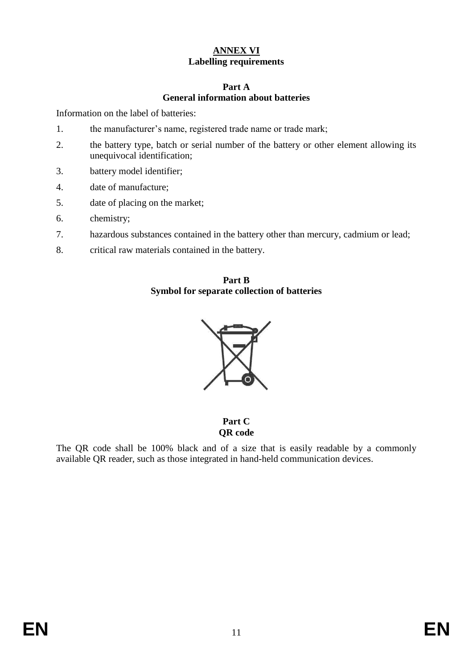# **ANNEX VI Labelling requirements**

#### **Part A General information about batteries**

<span id="page-11-0"></span>Information on the label of batteries:

- 1. the manufacturer's name, registered trade name or trade mark;
- 2. the battery type, batch or serial number of the battery or other element allowing its unequivocal identification;
- 3. battery model identifier;
- 4. date of manufacture;
- 5. date of placing on the market;
- 6. chemistry;
- 7. hazardous substances contained in the battery other than mercury, cadmium or lead;
- 8. critical raw materials contained in the battery.

#### **Part B Symbol for separate collection of batteries**



**Part C QR code**

The QR code shall be 100% black and of a size that is easily readable by a commonly available QR reader, such as those integrated in hand-held communication devices.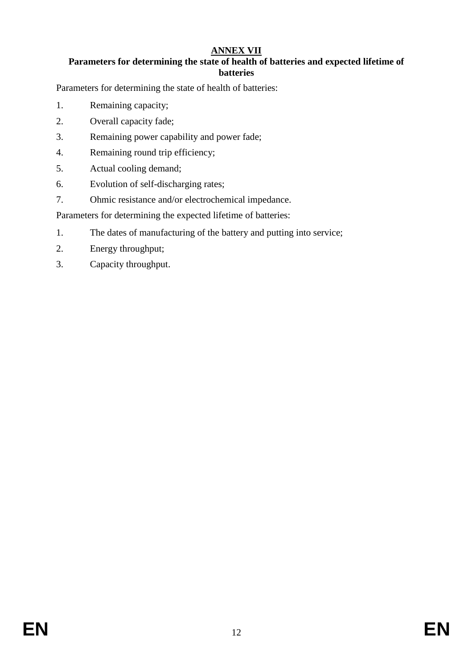# **ANNEX VII**

# <span id="page-12-0"></span>**Parameters for determining the state of health of batteries and expected lifetime of batteries**

Parameters for determining the state of health of batteries:

- 1. Remaining capacity;
- 2. Overall capacity fade;
- 3. Remaining power capability and power fade;
- 4. Remaining round trip efficiency;
- 5. Actual cooling demand;
- 6. Evolution of self-discharging rates;
- 7. Ohmic resistance and/or electrochemical impedance.

Parameters for determining the expected lifetime of batteries:

- 1. The dates of manufacturing of the battery and putting into service;
- 2. Energy throughput;
- 3. Capacity throughput.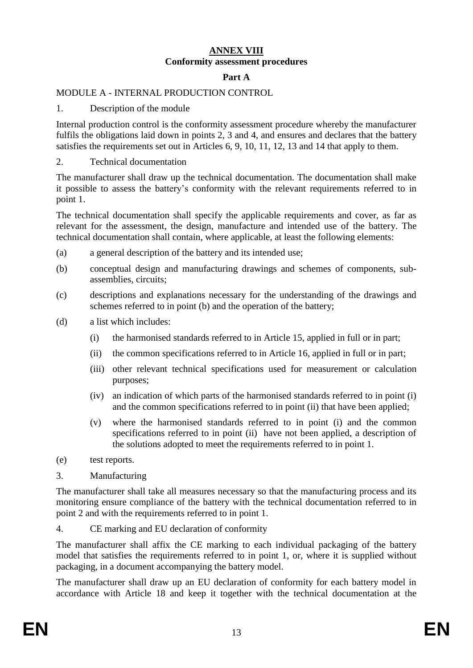### **ANNEX VIII Conformity assessment procedures**

#### **Part A**

# <span id="page-13-0"></span>MODULE A - INTERNAL PRODUCTION CONTROL

1. Description of the module

Internal production control is the conformity assessment procedure whereby the manufacturer fulfils the obligations laid down in points 2, 3 and 4, and ensures and declares that the battery satisfies the requirements set out in Articles 6, 9, 10, 11, 12, 13 and 14 that apply to them.

2. Technical documentation

The manufacturer shall draw up the technical documentation. The documentation shall make it possible to assess the battery's conformity with the relevant requirements referred to in point 1.

The technical documentation shall specify the applicable requirements and cover, as far as relevant for the assessment, the design, manufacture and intended use of the battery. The technical documentation shall contain, where applicable, at least the following elements:

- (a) a general description of the battery and its intended use;
- (b) conceptual design and manufacturing drawings and schemes of components, subassemblies, circuits;
- (c) descriptions and explanations necessary for the understanding of the drawings and schemes referred to in point (b) and the operation of the battery;
- (d) a list which includes:
	- (i) the harmonised standards referred to in Article 15, applied in full or in part;
	- (ii) the common specifications referred to in Article 16, applied in full or in part;
	- (iii) other relevant technical specifications used for measurement or calculation purposes;
	- (iv) an indication of which parts of the harmonised standards referred to in point (i) and the common specifications referred to in point (ii) that have been applied;
	- (v) where the harmonised standards referred to in point (i) and the common specifications referred to in point (ii) have not been applied, a description of the solutions adopted to meet the requirements referred to in point 1.
- (e) test reports.
- 3. Manufacturing

The manufacturer shall take all measures necessary so that the manufacturing process and its monitoring ensure compliance of the battery with the technical documentation referred to in point 2 and with the requirements referred to in point 1.

4. CE marking and EU declaration of conformity

The manufacturer shall affix the CE marking to each individual packaging of the battery model that satisfies the requirements referred to in point 1, or, where it is supplied without packaging, in a document accompanying the battery model.

The manufacturer shall draw up an EU declaration of conformity for each battery model in accordance with Article 18 and keep it together with the technical documentation at the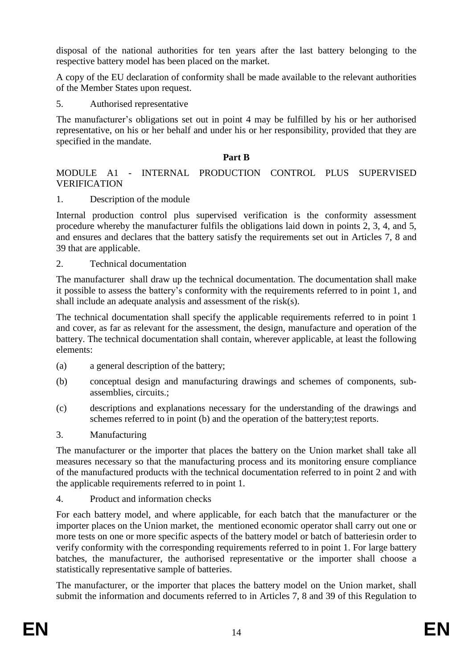disposal of the national authorities for ten years after the last battery belonging to the respective battery model has been placed on the market.

A copy of the EU declaration of conformity shall be made available to the relevant authorities of the Member States upon request.

5. Authorised representative

The manufacturer's obligations set out in point 4 may be fulfilled by his or her authorised representative, on his or her behalf and under his or her responsibility, provided that they are specified in the mandate.

# **Part B**

# MODULE A1 - INTERNAL PRODUCTION CONTROL PLUS SUPERVISED VERIFICATION

# 1. Description of the module

Internal production control plus supervised verification is the conformity assessment procedure whereby the manufacturer fulfils the obligations laid down in points 2, 3, 4, and 5, and ensures and declares that the battery satisfy the requirements set out in Articles 7, 8 and 39 that are applicable.

# 2. Technical documentation

The manufacturer shall draw up the technical documentation. The documentation shall make it possible to assess the battery's conformity with the requirements referred to in point 1, and shall include an adequate analysis and assessment of the risk(s).

The technical documentation shall specify the applicable requirements referred to in point 1 and cover, as far as relevant for the assessment, the design, manufacture and operation of the battery. The technical documentation shall contain, wherever applicable, at least the following elements:

- (a) a general description of the battery;
- (b) conceptual design and manufacturing drawings and schemes of components, subassemblies, circuits.;
- (c) descriptions and explanations necessary for the understanding of the drawings and schemes referred to in point (b) and the operation of the battery;test reports.
- 3. Manufacturing

The manufacturer or the importer that places the battery on the Union market shall take all measures necessary so that the manufacturing process and its monitoring ensure compliance of the manufactured products with the technical documentation referred to in point 2 and with the applicable requirements referred to in point 1.

# 4. Product and information checks

For each battery model, and where applicable, for each batch that the manufacturer or the importer places on the Union market, the mentioned economic operator shall carry out one or more tests on one or more specific aspects of the battery model or batch of batteriesin order to verify conformity with the corresponding requirements referred to in point 1. For large battery batches, the manufacturer, the authorised representative or the importer shall choose a statistically representative sample of batteries.

The manufacturer, or the importer that places the battery model on the Union market, shall submit the information and documents referred to in Articles 7, 8 and 39 of this Regulation to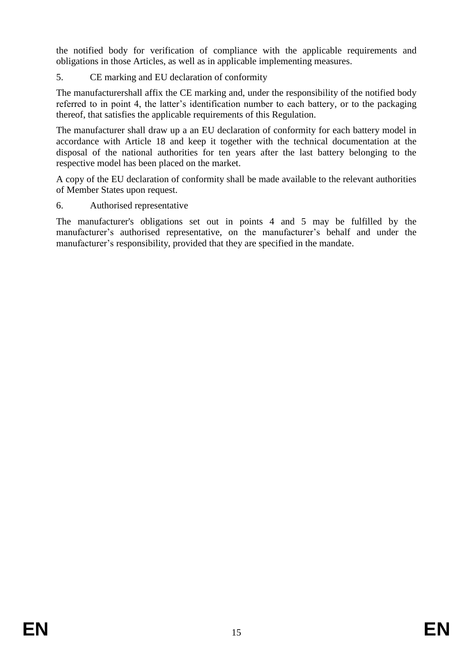the notified body for verification of compliance with the applicable requirements and obligations in those Articles, as well as in applicable implementing measures.

# 5. CE marking and EU declaration of conformity

The manufacturershall affix the CE marking and, under the responsibility of the notified body referred to in point 4, the latter's identification number to each battery, or to the packaging thereof, that satisfies the applicable requirements of this Regulation.

The manufacturer shall draw up a an EU declaration of conformity for each battery model in accordance with Article 18 and keep it together with the technical documentation at the disposal of the national authorities for ten years after the last battery belonging to the respective model has been placed on the market.

A copy of the EU declaration of conformity shall be made available to the relevant authorities of Member States upon request.

# 6. Authorised representative

The manufacturer's obligations set out in points 4 and 5 may be fulfilled by the manufacturer's authorised representative, on the manufacturer's behalf and under the manufacturer's responsibility, provided that they are specified in the mandate.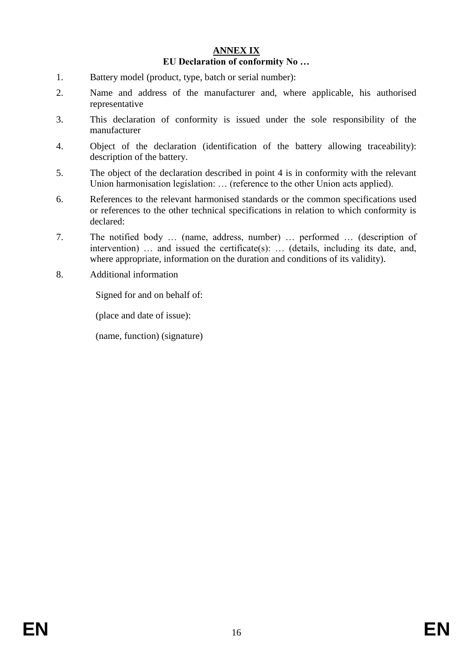### **ANNEX IX EU Declaration of conformity No …**

- <span id="page-16-0"></span>1. Battery model (product, type, batch or serial number):
- 2. Name and address of the manufacturer and, where applicable, his authorised representative
- 3. This declaration of conformity is issued under the sole responsibility of the manufacturer
- 4. Object of the declaration (identification of the battery allowing traceability): description of the battery.
- 5. The object of the declaration described in point 4 is in conformity with the relevant Union harmonisation legislation: ... (reference to the other Union acts applied).
- 6. References to the relevant harmonised standards or the common specifications used or references to the other technical specifications in relation to which conformity is declared:
- 7. The notified body … (name, address, number) … performed … (description of intervention) … and issued the certificate(s): … (details, including its date, and, where appropriate, information on the duration and conditions of its validity).
- 8. Additional information

Signed for and on behalf of:

(place and date of issue):

(name, function) (signature)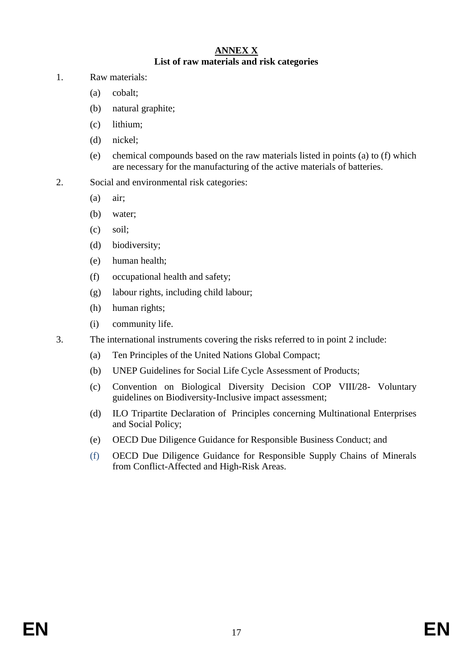### **ANNEX X List of raw materials and risk categories**

- <span id="page-17-0"></span>1. Raw materials:
	- (a) cobalt;
	- (b) natural graphite;
	- (c) lithium;
	- (d) nickel;
	- (e) chemical compounds based on the raw materials listed in points (a) to (f) which are necessary for the manufacturing of the active materials of batteries.
- 2. Social and environmental risk categories:
	- (a) air;
	- (b) water;
	- (c) soil;
	- (d) biodiversity;
	- (e) human health;
	- (f) occupational health and safety;
	- (g) labour rights, including child labour;
	- (h) human rights;
	- (i) community life.
- 3. The international instruments covering the risks referred to in point 2 include:
	- (a) Ten Principles of the United Nations Global Compact;
	- (b) UNEP Guidelines for Social Life Cycle Assessment of Products;
	- (c) Convention on Biological Diversity Decision COP VIII/28- Voluntary guidelines on Biodiversity-Inclusive impact assessment;
	- (d) ILO Tripartite Declaration of Principles concerning Multinational Enterprises and Social Policy;
	- (e) OECD Due Diligence Guidance for Responsible Business Conduct; and
	- (f) OECD Due Diligence Guidance for Responsible Supply Chains of Minerals from Conflict-Affected and High-Risk Areas.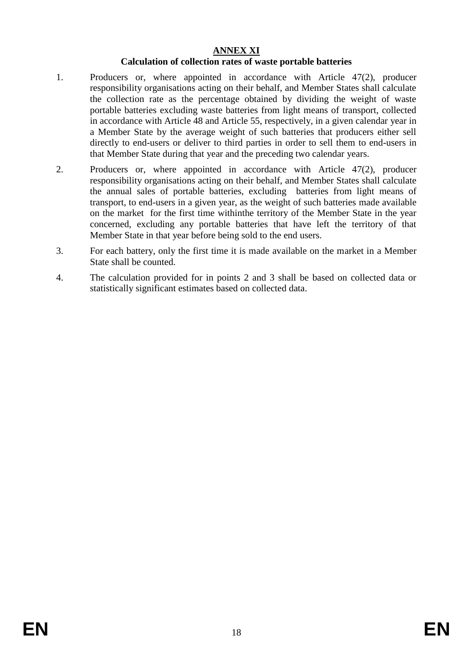# **ANNEX XI**

### **Calculation of collection rates of waste portable batteries**

- <span id="page-18-0"></span>1. Producers or, where appointed in accordance with Article 47(2), producer responsibility organisations acting on their behalf, and Member States shall calculate the collection rate as the percentage obtained by dividing the weight of waste portable batteries excluding waste batteries from light means of transport, collected in accordance with Article 48 and Article 55, respectively, in a given calendar year in a Member State by the average weight of such batteries that producers either sell directly to end-users or deliver to third parties in order to sell them to end-users in that Member State during that year and the preceding two calendar years.
- 2. Producers or, where appointed in accordance with Article 47(2), producer responsibility organisations acting on their behalf, and Member States shall calculate the annual sales of portable batteries, excluding batteries from light means of transport, to end-users in a given year, as the weight of such batteries made available on the market for the first time withinthe territory of the Member State in the year concerned, excluding any portable batteries that have left the territory of that Member State in that year before being sold to the end users.
- 3. For each battery, only the first time it is made available on the market in a Member State shall be counted.
- 4. The calculation provided for in points 2 and 3 shall be based on collected data or statistically significant estimates based on collected data.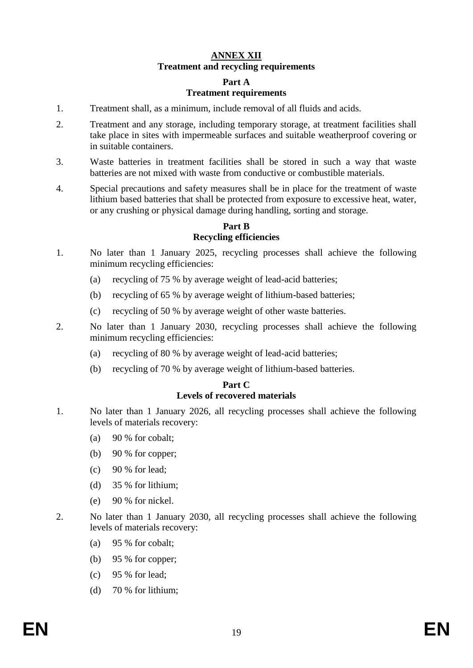# **ANNEX XII Treatment and recycling requirements**

## **Part A**

#### **Treatment requirements**

- <span id="page-19-0"></span>1. Treatment shall, as a minimum, include removal of all fluids and acids.
- 2. Treatment and any storage, including temporary storage, at treatment facilities shall take place in sites with impermeable surfaces and suitable weatherproof covering or in suitable containers.
- 3. Waste batteries in treatment facilities shall be stored in such a way that waste batteries are not mixed with waste from conductive or combustible materials.
- 4. Special precautions and safety measures shall be in place for the treatment of waste lithium based batteries that shall be protected from exposure to excessive heat, water, or any crushing or physical damage during handling, sorting and storage.

# **Part B Recycling efficiencies**

- 1. No later than 1 January 2025, recycling processes shall achieve the following minimum recycling efficiencies:
	- (a) recycling of 75 % by average weight of lead-acid batteries;
	- (b) recycling of 65 % by average weight of lithium-based batteries;
	- (c) recycling of 50 % by average weight of other waste batteries.
- 2. No later than 1 January 2030, recycling processes shall achieve the following minimum recycling efficiencies:
	- (a) recycling of 80 % by average weight of lead-acid batteries;
	- (b) recycling of 70 % by average weight of lithium-based batteries.

#### **Part C Levels of recovered materials**

- 1. No later than 1 January 2026, all recycling processes shall achieve the following levels of materials recovery:
	- (a) 90 % for cobalt;
	- (b) 90 % for copper;
	- $(c)$  90 % for lead:
	- (d) 35 % for lithium;
	- (e) 90 % for nickel.
- 2. No later than 1 January 2030, all recycling processes shall achieve the following levels of materials recovery:
	- (a) 95 % for cobalt;
	- (b) 95 % for copper;
	- (c) 95 % for lead;
	- (d) 70 % for lithium;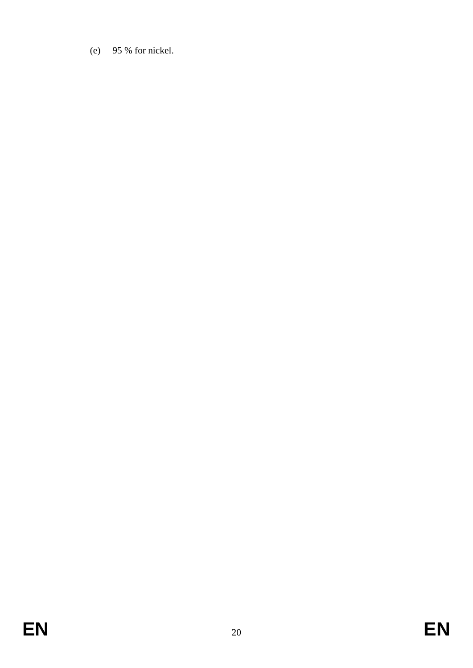(e) 95 % for nickel.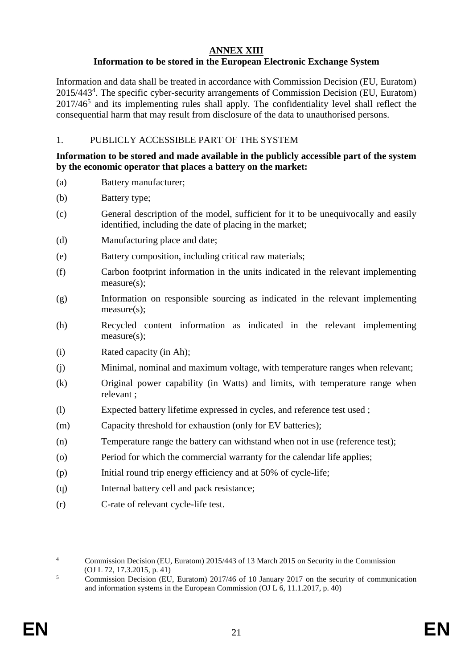# **ANNEX XIII**

# **Information to be stored in the European Electronic Exchange System**

<span id="page-21-0"></span>Information and data shall be treated in accordance with Commission Decision (EU, Euratom) 2015/443<sup>4</sup> . The specific cyber-security arrangements of Commission Decision (EU, Euratom)  $2017/46<sup>5</sup>$  and its implementing rules shall apply. The confidentiality level shall reflect the consequential harm that may result from disclosure of the data to unauthorised persons.

# 1. PUBLICLY ACCESSIBLE PART OF THE SYSTEM

### **Information to be stored and made available in the publicly accessible part of the system by the economic operator that places a battery on the market:**

(a) Battery manufacturer;

(b) Battery type;

- (c) General description of the model, sufficient for it to be unequivocally and easily identified, including the date of placing in the market;
- (d) Manufacturing place and date;
- (e) Battery composition, including critical raw materials;
- (f) Carbon footprint information in the units indicated in the relevant implementing measure(s):
- (g) Information on responsible sourcing as indicated in the relevant implementing measure(s);
- (h) Recycled content information as indicated in the relevant implementing measure(s);
- (i) Rated capacity (in Ah);
- (j) Minimal, nominal and maximum voltage, with temperature ranges when relevant;
- (k) Original power capability (in Watts) and limits, with temperature range when relevant ;
- (l) Expected battery lifetime expressed in cycles, and reference test used ;
- (m) Capacity threshold for exhaustion (only for EV batteries);
- (n) Temperature range the battery can withstand when not in use (reference test);
- (o) Period for which the commercial warranty for the calendar life applies;
- (p) Initial round trip energy efficiency and at 50% of cycle-life;
- (q) Internal battery cell and pack resistance;
- (r) C-rate of relevant cycle-life test.

 $\overline{4}$ <sup>4</sup> Commission Decision (EU, Euratom) 2015/443 of 13 March 2015 on Security in the Commission (OJ L 72, 17.3.2015, p. 41)

 $\frac{5}{100}$  Commission Decision (EU, Euratom) 2017/46 of 10 January 2017 on the security of communication and information systems in the European Commission (OJ L 6, 11.1.2017, p. 40)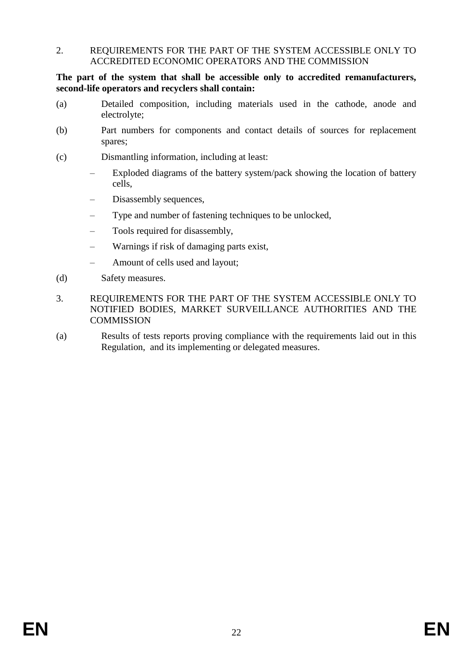#### 2. REQUIREMENTS FOR THE PART OF THE SYSTEM ACCESSIBLE ONLY TO ACCREDITED ECONOMIC OPERATORS AND THE COMMISSION

**The part of the system that shall be accessible only to accredited remanufacturers, second-life operators and recyclers shall contain:**

- (a) Detailed composition, including materials used in the cathode, anode and electrolyte;
- (b) Part numbers for components and contact details of sources for replacement spares;
- (c) Dismantling information, including at least:
	- Exploded diagrams of the battery system/pack showing the location of battery cells,
	- Disassembly sequences,
	- Type and number of fastening techniques to be unlocked,
	- Tools required for disassembly,
	- Warnings if risk of damaging parts exist,
	- Amount of cells used and layout;
- (d) Safety measures.
- 3. REQUIREMENTS FOR THE PART OF THE SYSTEM ACCESSIBLE ONLY TO NOTIFIED BODIES, MARKET SURVEILLANCE AUTHORITIES AND THE **COMMISSION**
- (a) Results of tests reports proving compliance with the requirements laid out in this Regulation, and its implementing or delegated measures.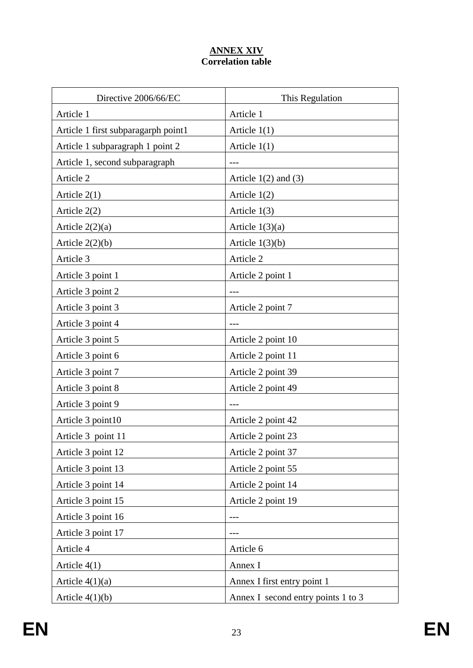# **ANNEX XIV Correlation table**

<span id="page-23-0"></span>

| Directive 2006/66/EC                | This Regulation                    |
|-------------------------------------|------------------------------------|
| Article 1                           | Article 1                          |
| Article 1 first subparagarph point1 | Article $1(1)$                     |
| Article 1 subparagraph 1 point 2    | Article $1(1)$                     |
| Article 1, second subparagraph      |                                    |
| Article 2                           | Article $1(2)$ and $(3)$           |
| Article $2(1)$                      | Article $1(2)$                     |
| Article $2(2)$                      | Article $1(3)$                     |
| Article $2(2)(a)$                   | Article $1(3)(a)$                  |
| Article $2(2)(b)$                   | Article $1(3)(b)$                  |
| Article 3                           | Article 2                          |
| Article 3 point 1                   | Article 2 point 1                  |
| Article 3 point 2                   |                                    |
| Article 3 point 3                   | Article 2 point 7                  |
| Article 3 point 4                   |                                    |
| Article 3 point 5                   | Article 2 point 10                 |
| Article 3 point 6                   | Article 2 point 11                 |
| Article 3 point 7                   | Article 2 point 39                 |
| Article 3 point 8                   | Article 2 point 49                 |
| Article 3 point 9                   |                                    |
| Article 3 point10                   | Article 2 point 42                 |
| Article 3 point 11                  | Article 2 point 23                 |
| Article 3 point 12                  | Article 2 point 37                 |
| Article 3 point 13                  | Article 2 point 55                 |
| Article 3 point 14                  | Article 2 point 14                 |
| Article 3 point 15                  | Article 2 point 19                 |
| Article 3 point 16                  | $---$                              |
| Article 3 point 17                  |                                    |
| Article 4                           | Article 6                          |
| Article $4(1)$                      | Annex I                            |
| Article $4(1)(a)$                   | Annex I first entry point 1        |
| Article $4(1)(b)$                   | Annex I second entry points 1 to 3 |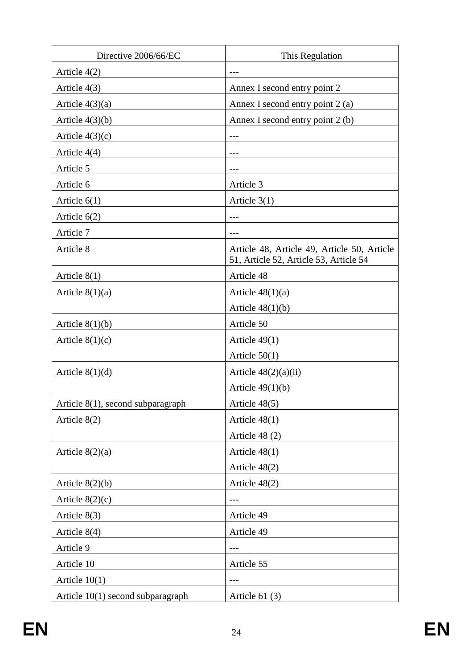| Directive 2006/66/EC              | This Regulation                                                                       |
|-----------------------------------|---------------------------------------------------------------------------------------|
| Article $4(2)$                    |                                                                                       |
| Article $4(3)$                    | Annex I second entry point 2                                                          |
| Article $4(3)(a)$                 | Annex I second entry point 2 (a)                                                      |
| Article $4(3)(b)$                 | Annex I second entry point 2 (b)                                                      |
| Article $4(3)(c)$                 |                                                                                       |
| Article $4(4)$                    |                                                                                       |
| Article 5                         |                                                                                       |
| Article 6                         | Article 3                                                                             |
| Article $6(1)$                    | Article $3(1)$                                                                        |
| Article $6(2)$                    |                                                                                       |
| Article 7                         |                                                                                       |
| Article 8                         | Article 48, Article 49, Article 50, Article<br>51, Article 52, Article 53, Article 54 |
| Article $8(1)$                    | Article 48                                                                            |
| Article $8(1)(a)$                 | Article $48(1)(a)$                                                                    |
|                                   | Article $48(1)(b)$                                                                    |
| Article $8(1)(b)$                 | Article 50                                                                            |
| Article $8(1)(c)$                 | Article $49(1)$                                                                       |
|                                   | Article $50(1)$                                                                       |
| Article $8(1)(d)$                 | Article $48(2)(a)(ii)$                                                                |
|                                   | Article $49(1)(b)$                                                                    |
| Article 8(1), second subparagraph | Article 48(5)                                                                         |
| Article 8(2)                      | Article $48(1)$                                                                       |
|                                   | Article 48 (2)                                                                        |
| Article $8(2)(a)$                 | Article $48(1)$                                                                       |
|                                   | Article 48(2)                                                                         |
| Article $8(2)(b)$                 | Article 48(2)                                                                         |
| Article $8(2)(c)$                 |                                                                                       |
| Article 8(3)                      | Article 49                                                                            |
| Article $8(4)$                    | Article 49                                                                            |
| Article 9                         | $---$                                                                                 |
| Article 10                        | Article 55                                                                            |
| Article $10(1)$                   |                                                                                       |
| Article 10(1) second subparagraph | Article $61(3)$                                                                       |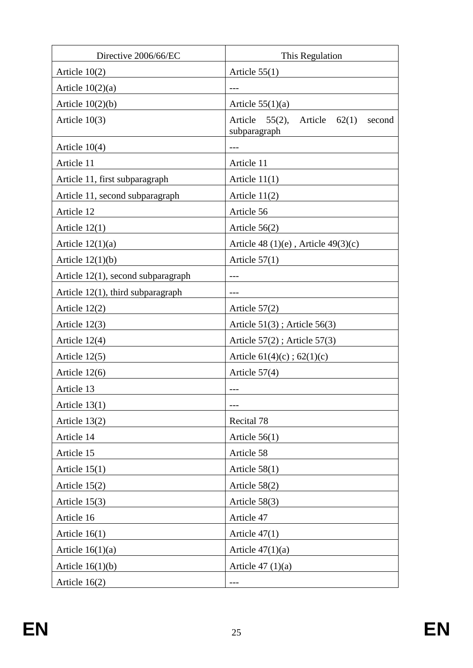| Directive 2006/66/EC                  | This Regulation                                                 |
|---------------------------------------|-----------------------------------------------------------------|
| Article $10(2)$                       | Article $55(1)$                                                 |
| Article $10(2)(a)$                    |                                                                 |
| Article $10(2)(b)$                    | Article $55(1)(a)$                                              |
| Article $10(3)$                       | Article $55(2)$ ,<br>Article<br>62(1)<br>second<br>subparagraph |
| Article $10(4)$                       |                                                                 |
| Article 11                            | Article 11                                                      |
| Article 11, first subparagraph        | Article $11(1)$                                                 |
| Article 11, second subparagraph       | Article $11(2)$                                                 |
| Article 12                            | Article 56                                                      |
| Article $12(1)$                       | Article $56(2)$                                                 |
| Article $12(1)(a)$                    | Article $48(1)(e)$ , Article $49(3)(c)$                         |
| Article $12(1)(b)$                    | Article $57(1)$                                                 |
| Article $12(1)$ , second subparagraph |                                                                 |
| Article 12(1), third subparagraph     |                                                                 |
| Article $12(2)$                       | Article $57(2)$                                                 |
| Article $12(3)$                       | Article $51(3)$ ; Article $56(3)$                               |
| Article 12(4)                         | Article $57(2)$ ; Article $57(3)$                               |
| Article $12(5)$                       | Article $61(4)(c)$ ; $62(1)(c)$                                 |
| Article $12(6)$                       | Article $57(4)$                                                 |
| Article 13                            |                                                                 |
| Article $13(1)$                       |                                                                 |
| Article 13(2)                         | Recital 78                                                      |
| Article 14                            | Article $56(1)$                                                 |
| Article 15                            | Article 58                                                      |
| Article $15(1)$                       | Article $58(1)$                                                 |
| Article $15(2)$                       | Article $58(2)$                                                 |
| Article $15(3)$                       | Article 58(3)                                                   |
| Article 16                            | Article 47                                                      |
| Article $16(1)$                       | Article $47(1)$                                                 |
| Article $16(1)(a)$                    | Article $47(1)(a)$                                              |
| Article $16(1)(b)$                    | Article $47(1)(a)$                                              |
| Article $16(2)$                       | ---                                                             |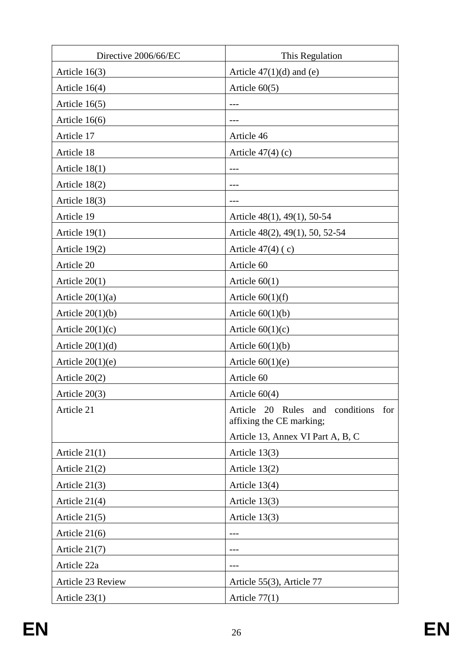| Directive 2006/66/EC | This Regulation                                                 |
|----------------------|-----------------------------------------------------------------|
| Article $16(3)$      | Article $47(1)(d)$ and (e)                                      |
| Article $16(4)$      | Article $60(5)$                                                 |
| Article 16(5)        | $---$                                                           |
| Article 16(6)        |                                                                 |
| Article 17           | Article 46                                                      |
| Article 18           | Article $47(4)$ (c)                                             |
| Article $18(1)$      |                                                                 |
| Article 18(2)        | $---$                                                           |
| Article 18(3)        |                                                                 |
| Article 19           | Article $48(1)$ , $49(1)$ , 50-54                               |
| Article $19(1)$      | Article 48(2), 49(1), 50, 52-54                                 |
| Article 19(2)        | Article $47(4)$ (c)                                             |
| Article 20           | Article 60                                                      |
| Article $20(1)$      | Article $60(1)$                                                 |
| Article $20(1)(a)$   | Article $60(1)(f)$                                              |
| Article $20(1)(b)$   | Article $60(1)(b)$                                              |
| Article $20(1)(c)$   | Article $60(1)(c)$                                              |
| Article $20(1)(d)$   | Article $60(1)(b)$                                              |
| Article $20(1)(e)$   | Article $60(1)(e)$                                              |
| Article $20(2)$      | Article 60                                                      |
| Article $20(3)$      | Article $60(4)$                                                 |
| Article 21           | Article 20 Rules and conditions for<br>affixing the CE marking; |
|                      | Article 13, Annex VI Part A, B, C                               |
| Article $21(1)$      | Article 13(3)                                                   |
| Article $21(2)$      | Article $13(2)$                                                 |
| Article $21(3)$      | Article $13(4)$                                                 |
| Article $21(4)$      | Article $13(3)$                                                 |
| Article $21(5)$      | Article $13(3)$                                                 |
| Article $21(6)$      |                                                                 |
| Article $21(7)$      |                                                                 |
| Article 22a          | ---                                                             |
| Article 23 Review    | Article 55(3), Article 77                                       |
| Article $23(1)$      | Article $77(1)$                                                 |